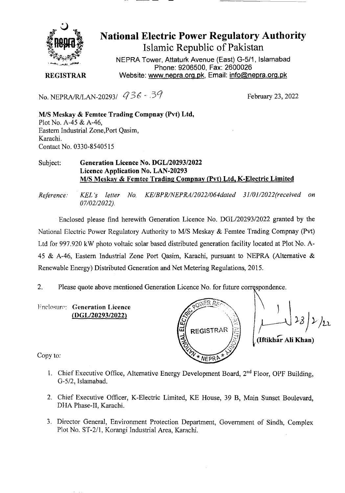

## **National Electric Power Regulatory Authority Islamic Republic of Pakistan**

NEPRA Tower, Attaturk Avenue (East) G-511, **Islamabad Phone: 9206500, Fax: 2600026 REGISTRAR** Website: www.nepra.org.pk, Email: *info@nepra.org.pk* 

No. NEPRA/R/LAN-20293/  $\sqrt{36 - 37}$  February 23, 2022

M/S Meskay & **Femtee Trading Compnay (Pvt) Ltd,**  Plot No. A-45 & A-46, Eastern Industrial Zone,Port Qasim, Karachi. Contact No. 0330-85405 15

## Subject: **Generation Licence** No. DGL/20293/2022 Licence Application No. LAN-20293 M/S Meskay & Fcmtce Trading **Compnav (Pvt) Ltd. K-Electric Limited**

*Reference. KEL 's letter No. KE/BPR/NEPRA/2022/O64daled 31/01/2022('received on 07/02/2022).* 

Enclosed please find herewith Generation Licence No. DGL/2029312022 granted by the National Electric Power Regulatory Authority to *MIS* Meskay & Femtee Trading Compnay (Pvt) Ltd for 997.920 kW photo voltaic solar based distributed generation facility located at Plot No. A-45 & A-46, Eastern Industrial Zone Port Qasim, Karachi, pursuant to NEPRA (Alternative & Renewable Energy) Distributed Generation and Net Metering Regulations, 2015.

2. Please quote above mentioned Generation Licence No. for future correspondence.

**Fnclosure:** Generation Licence *(DGL/2029312022)* 

 $\perp$ **REGISTRAR**  $\mathcal{F}$ **(Iftilth** Ali **Khan)**  NEPRI

Copy to:

- 1. Chief Executive Office, Alternative Energy Development Board, 2<sup>nd</sup> Floor, OPF Building, 0-5/2, IsIamabad.
- 2. Chief Executive Officer, K-Electric Limited, KE House, 39 B, Main Sunset Boulevard, DMA Phase-IT, Karachi.
- 3. Director General, Environment Protection Department, Government of Sindh, Complex Plot No. *ST-211,* Korangi Industrial Area, Karachi.